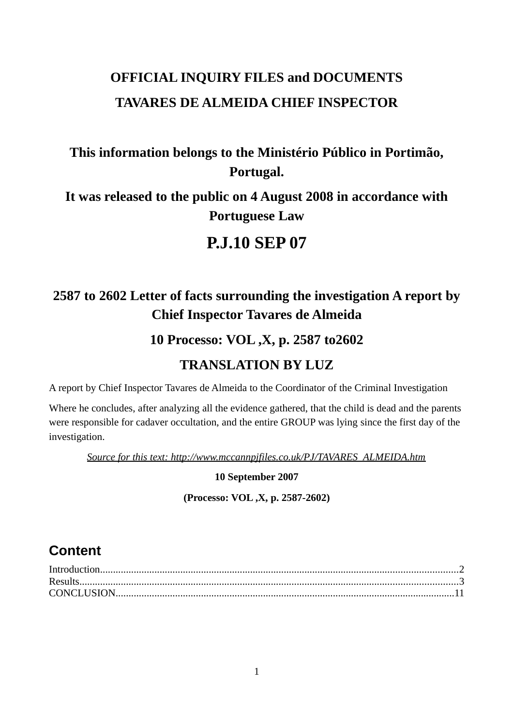# **OFFICIAL INQUIRY FILES and DOCUMENTS TAVARES DE ALMEIDA CHIEF INSPECTOR**

## **This information belongs to the Ministério Público in Portimão, Portugal.**

## **It was released to the public on 4 August 2008 in accordance with Portuguese Law**

## **P.J.10 SEP 07**

# **2587 to 2602 Letter of facts surrounding the investigation A report by Chief Inspector Tavares de Almeida**

### **10 Processo: VOL ,X, p. 2587 to2602**

### **TRANSLATION BY LUZ**

A report by Chief Inspector Tavares de Almeida to the Coordinator of the Criminal Investigation

Where he concludes, after analyzing all the evidence gathered, that the child is dead and the parents were responsible for cadaver occultation, and the entire GROUP was lying since the first day of the investigation.

*Source for this text: http://www.mccannpjfiles.co.uk/PJ/TAVARES\_ALMEIDA.htm*

**10 September 2007**

**(Processo: VOL ,X, p. 2587-2602)**

### **Content**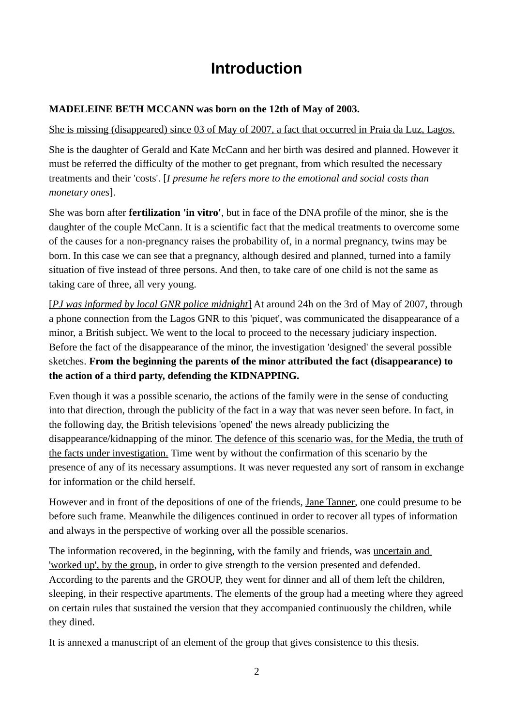# <span id="page-1-0"></span>**Introduction**

#### **MADELEINE BETH MCCANN was born on the 12th of May of 2003.**

#### She is missing (disappeared) since 03 of May of 2007, a fact that occurred in Praia da Luz, Lagos.

She is the daughter of Gerald and Kate McCann and her birth was desired and planned. However it must be referred the difficulty of the mother to get pregnant, from which resulted the necessary treatments and their 'costs'. [*I presume he refers more to the emotional and social costs than monetary ones*].

She was born after **fertilization 'in vitro'**, but in face of the DNA profile of the minor, she is the daughter of the couple McCann. It is a scientific fact that the medical treatments to overcome some of the causes for a non-pregnancy raises the probability of, in a normal pregnancy, twins may be born. In this case we can see that a pregnancy, although desired and planned, turned into a family situation of five instead of three persons. And then, to take care of one child is not the same as taking care of three, all very young.

 [ *PJ was informed by local GNR police midnight*] At around 24h on the 3rd of May of 2007, through a phone connection from the Lagos GNR to this 'piquet', was communicated the disappearance of a minor, a British subject. We went to the local to proceed to the necessary judiciary inspection. Before the fact of the disappearance of the minor, the investigation 'designed' the several possible sketches. **From the beginning the parents of the minor attributed the fact (disappearance) to the action of a third party, defending the KIDNAPPING.**

Even though it was a possible scenario, the actions of the family were in the sense of conducting into that direction, through the publicity of the fact in a way that was never seen before. In fact, in the following day, the British televisions 'opened' the news already publicizing the disappearance/kidnapping of the minor. The defence of this scenario was, for the Media, the truth of the facts under investigation. Time went by without the confirmation of this scenario by the presence of any of its necessary assumptions. It was never requested any sort of ransom in exchange for information or the child herself.

However and in front of the depositions of one of the friends, Jane Tanner, one could presume to be before such frame. Meanwhile the diligences continued in order to recover all types of information and always in the perspective of working over all the possible scenarios.

The information recovered, in the beginning, with the family and friends, was uncertain and 'worked up', by the group, in order to give strength to the version presented and defended. According to the parents and the GROUP, they went for dinner and all of them left the children, sleeping, in their respective apartments. The elements of the group had a meeting where they agreed on certain rules that sustained the version that they accompanied continuously the children, while they dined.

It is annexed a manuscript of an element of the group that gives consistence to this thesis.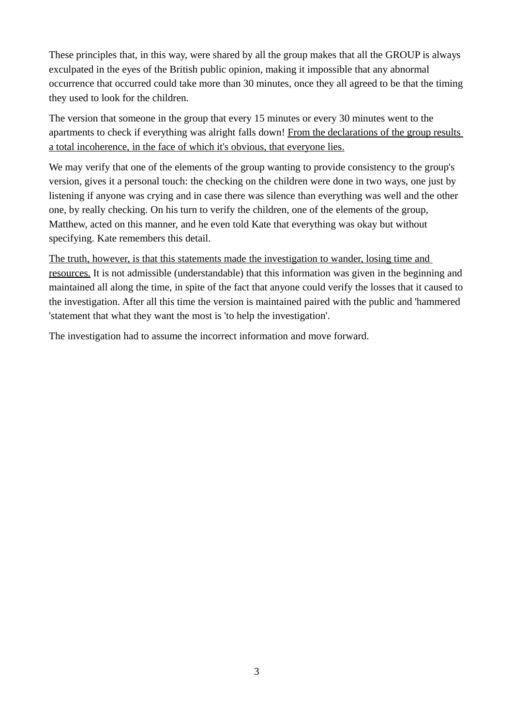These principles that, in this way, were shared by all the group makes that all the GROUP is always exculpated in the eyes of the British public opinion, making it impossible that any abnormal occurrence that occurred could take more than 30 minutes, once they all agreed to be that the timing they used to look for the children.

The version that someone in the group that every 15 minutes or every 30 minutes went to the apartments to check if everything was alright falls down! From the declarations of the group results a total incoherence, in the face of which it's obvious, that everyone lies.

We may verify that one of the elements of the group wanting to provide consistency to the group's version, gives it a personal touch: the checking on the children were done in two ways, one just by listening if anyone was crying and in case there was silence than everything was well and the other one, by really checking. On his turn to verify the children, one of the elements of the group, Matthew, acted on this manner, and he even told Kate that everything was okay but without specifying. Kate remembers this detail.

The truth, however, is that this statements made the investigation to wander, losing time and resources. It is not admissible (understandable) that this information was given in the beginning and maintained all along the time, in spite of the fact that anyone could verify the losses that it caused to the investigation. After all this time the version is maintained paired with the public and 'hammered 'statement that what they want the most is 'to help the investigation'.

The investigation had to assume the incorrect information and move forward.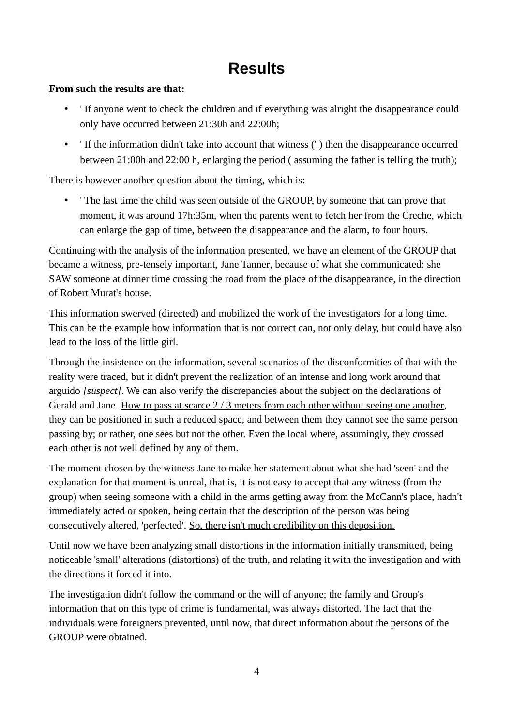# <span id="page-3-0"></span>**Results**

#### **From such the results are that:**

- ' If anyone went to check the children and if everything was alright the disappearance could only have occurred between 21:30h and 22:00h;
- ' If the information didn't take into account that witness (' ) then the disappearance occurred between 21:00h and 22:00 h, enlarging the period ( assuming the father is telling the truth);

There is however another question about the timing, which is:

• ' The last time the child was seen outside of the GROUP, by someone that can prove that moment, it was around 17h:35m, when the parents went to fetch her from the Creche, which can enlarge the gap of time, between the disappearance and the alarm, to four hours.

Continuing with the analysis of the information presented, we have an element of the GROUP that became a witness, pre-tensely important, Jane Tanner, because of what she communicated: she SAW someone at dinner time crossing the road from the place of the disappearance, in the direction of Robert Murat's house.

This information swerved (directed) and mobilized the work of the investigators for a long time. This can be the example how information that is not correct can, not only delay, but could have also lead to the loss of the little girl.

Through the insistence on the information, several scenarios of the disconformities of that with the reality were traced, but it didn't prevent the realization of an intense and long work around that arguido *[suspect]*. We can also verify the discrepancies about the subject on the declarations of Gerald and Jane. How to pass at scarce 2 / 3 meters from each other without seeing one another, they can be positioned in such a reduced space, and between them they cannot see the same person passing by; or rather, one sees but not the other. Even the local where, assumingly, they crossed each other is not well defined by any of them.

The moment chosen by the witness Jane to make her statement about what she had 'seen' and the explanation for that moment is unreal, that is, it is not easy to accept that any witness (from the group) when seeing someone with a child in the arms getting away from the McCann's place, hadn't immediately acted or spoken, being certain that the description of the person was being consecutively altered, 'perfected'. So, there isn't much credibility on this deposition.

Until now we have been analyzing small distortions in the information initially transmitted, being noticeable 'small' alterations (distortions) of the truth, and relating it with the investigation and with the directions it forced it into.

The investigation didn't follow the command or the will of anyone; the family and Group's information that on this type of crime is fundamental, was always distorted. The fact that the individuals were foreigners prevented, until now, that direct information about the persons of the GROUP were obtained.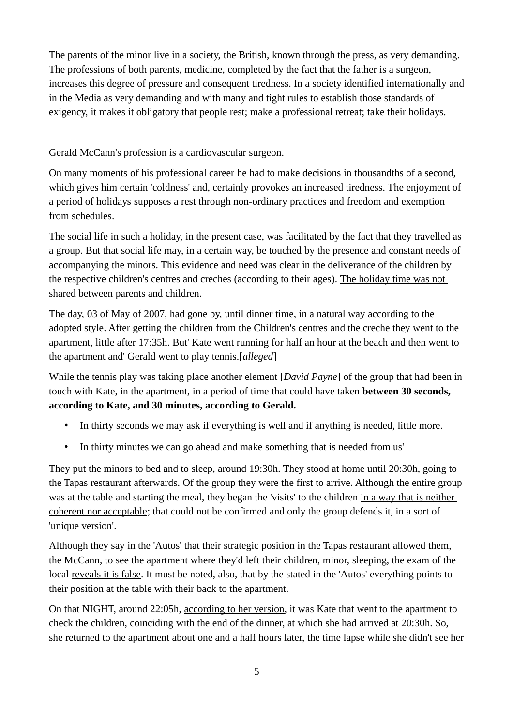The parents of the minor live in a society, the British, known through the press, as very demanding. The professions of both parents, medicine, completed by the fact that the father is a surgeon, increases this degree of pressure and consequent tiredness. In a society identified internationally and in the Media as very demanding and with many and tight rules to establish those standards of exigency, it makes it obligatory that people rest; make a professional retreat; take their holidays.

Gerald McCann's profession is a cardiovascular surgeon.

On many moments of his professional career he had to make decisions in thousandths of a second, which gives him certain 'coldness' and, certainly provokes an increased tiredness. The enjoyment of a period of holidays supposes a rest through non-ordinary practices and freedom and exemption from schedules.

The social life in such a holiday, in the present case, was facilitated by the fact that they travelled as a group. But that social life may, in a certain way, be touched by the presence and constant needs of accompanying the minors. This evidence and need was clear in the deliverance of the children by the respective children's centres and creches (according to their ages). The holiday time was not shared between parents and children.

The day, 03 of May of 2007, had gone by, until dinner time, in a natural way according to the adopted style. After getting the children from the Children's centres and the creche they went to the apartment, little after 17:35h. But' Kate went running for half an hour at the beach and then went to the apartment and' Gerald went to play tennis.[*alleged*]

While the tennis play was taking place another element [*David Payne*] of the group that had been in touch with Kate, in the apartment, in a period of time that could have taken **between 30 seconds, according to Kate, and 30 minutes, according to Gerald.**

- In thirty seconds we may ask if everything is well and if anything is needed, little more.
- In thirty minutes we can go ahead and make something that is needed from us'

They put the minors to bed and to sleep, around 19:30h. They stood at home until 20:30h, going to the Tapas restaurant afterwards. Of the group they were the first to arrive. Although the entire group was at the table and starting the meal, they began the 'visits' to the children in a way that is neither coherent nor acceptable; that could not be confirmed and only the group defends it, in a sort of 'unique version'.

Although they say in the 'Autos' that their strategic position in the Tapas restaurant allowed them, the McCann, to see the apartment where they'd left their children, minor, sleeping, the exam of the local reveals it is false. It must be noted, also, that by the stated in the 'Autos' everything points to their position at the table with their back to the apartment.

On that NIGHT, around 22:05h, according to her version, it was Kate that went to the apartment to check the children, coinciding with the end of the dinner, at which she had arrived at 20:30h. So, she returned to the apartment about one and a half hours later, the time lapse while she didn't see her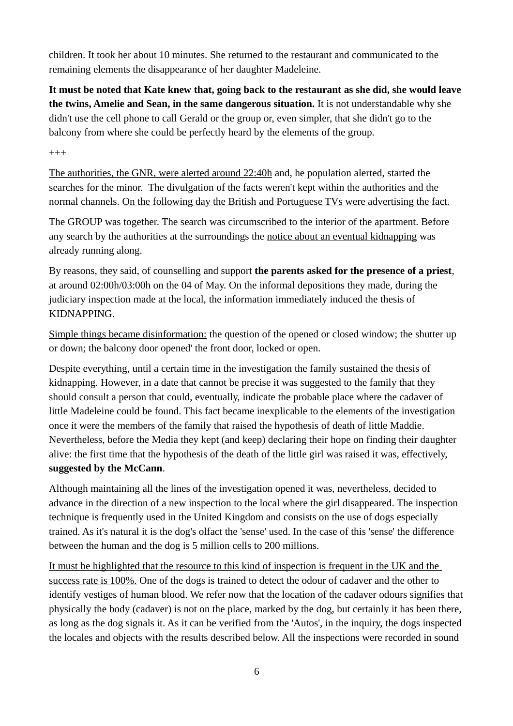children. It took her about 10 minutes. She returned to the restaurant and communicated to the remaining elements the disappearance of her daughter Madeleine.

**It must be noted that Kate knew that, going back to the restaurant as she did, she would leave the twins, Amelie and Sean, in the same dangerous situation.** It is not understandable why she didn't use the cell phone to call Gerald or the group or, even simpler, that she didn't go to the balcony from where she could be perfectly heard by the elements of the group.

 $+++$ 

The authorities, the GNR, were alerted around 22:40h and, he population alerted, started the searches for the minor. The divulgation of the facts weren't kept within the authorities and the normal channels. On the following day the British and Portuguese TVs were advertising the fact.

The GROUP was together. The search was circumscribed to the interior of the apartment. Before any search by the authorities at the surroundings the notice about an eventual kidnapping was already running along.

By reasons, they said, of counselling and support **the parents asked for the presence of a priest**, at around 02:00h/03:00h on the 04 of May. On the informal depositions they made, during the judiciary inspection made at the local, the information immediately induced the thesis of KIDNAPPING.

Simple things became disinformation: the question of the opened or closed window; the shutter up or down; the balcony door opened' the front door, locked or open.

Despite everything, until a certain time in the investigation the family sustained the thesis of kidnapping. However, in a date that cannot be precise it was suggested to the family that they should consult a person that could, eventually, indicate the probable place where the cadaver of little Madeleine could be found. This fact became inexplicable to the elements of the investigation once it were the members of the family that raised the hypothesis of death of little Maddie. Nevertheless, before the Media they kept (and keep) declaring their hope on finding their daughter alive: the first time that the hypothesis of the death of the little girl was raised it was, effectively, **suggested by the McCann**.

Although maintaining all the lines of the investigation opened it was, nevertheless, decided to advance in the direction of a new inspection to the local where the girl disappeared. The inspection technique is frequently used in the United Kingdom and consists on the use of dogs especially trained. As it's natural it is the dog's olfact the 'sense' used. In the case of this 'sense' the difference between the human and the dog is 5 million cells to 200 millions.

It must be highlighted that the resource to this kind of inspection is frequent in the UK and the success rate is 100%. One of the dogs is trained to detect the odour of cadaver and the other to identify vestiges of human blood. We refer now that the location of the cadaver odours signifies that physically the body (cadaver) is not on the place, marked by the dog, but certainly it has been there, as long as the dog signals it. As it can be verified from the 'Autos', in the inquiry, the dogs inspected the locales and objects with the results described below. All the inspections were recorded in sound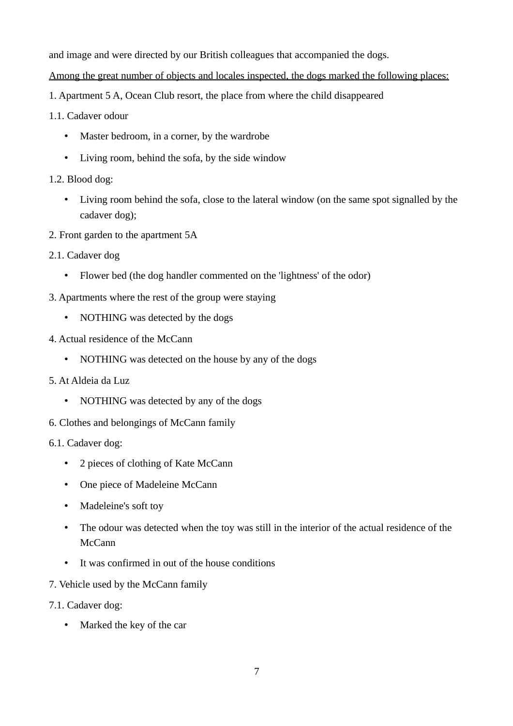and image and were directed by our British colleagues that accompanied the dogs.

Among the great number of objects and locales inspected, the dogs marked the following places:

- 1. Apartment 5 A, Ocean Club resort, the place from where the child disappeared
- 1.1. Cadaver odour
	- Master bedroom, in a corner, by the wardrobe
	- Living room, behind the sofa, by the side window
- 1.2. Blood dog:
	- Living room behind the sofa, close to the lateral window (on the same spot signalled by the cadaver dog);
- 2. Front garden to the apartment 5A
- 2.1. Cadaver dog
	- Flower bed (the dog handler commented on the 'lightness' of the odor)
- 3. Apartments where the rest of the group were staying
	- NOTHING was detected by the dogs
- 4. Actual residence of the McCann
	- NOTHING was detected on the house by any of the dogs
- 5. At Aldeia da Luz
	- NOTHING was detected by any of the dogs
- 6. Clothes and belongings of McCann family
- 6.1. Cadaver dog:
	- 2 pieces of clothing of Kate McCann
	- One piece of Madeleine McCann
	- Madeleine's soft toy
	- The odour was detected when the toy was still in the interior of the actual residence of the McCann
	- It was confirmed in out of the house conditions
- 7. Vehicle used by the McCann family
- 7.1. Cadaver dog:
	- Marked the key of the car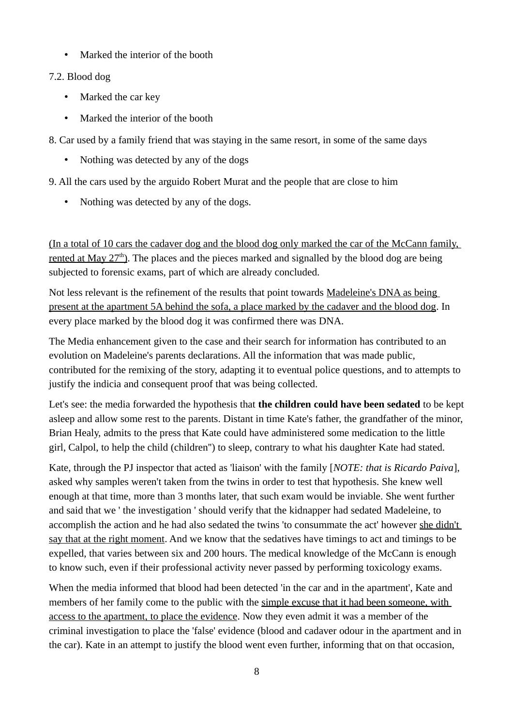• Marked the interior of the booth

#### 7.2. Blood dog

- Marked the car key
- Marked the interior of the booth
- 8. Car used by a family friend that was staying in the same resort, in some of the same days
	- Nothing was detected by any of the dogs

9. All the cars used by the arguido Robert Murat and the people that are close to him

• Nothing was detected by any of the dogs.

(In a total of 10 cars the cadaver dog and the blood dog only marked the car of the McCann family, rented at May  $27<sup>th</sup>$ ). The places and the pieces marked and signalled by the blood dog are being subjected to forensic exams, part of which are already concluded.

Not less relevant is the refinement of the results that point towards Madeleine's DNA as being present at the apartment 5A behind the sofa, a place marked by the cadaver and the blood dog. In every place marked by the blood dog it was confirmed there was DNA.

The Media enhancement given to the case and their search for information has contributed to an evolution on Madeleine's parents declarations. All the information that was made public, contributed for the remixing of the story, adapting it to eventual police questions, and to attempts to justify the indicia and consequent proof that was being collected.

Let's see: the media forwarded the hypothesis that **the children could have been sedated** to be kept asleep and allow some rest to the parents. Distant in time Kate's father, the grandfather of the minor, Brian Healy, admits to the press that Kate could have administered some medication to the little girl, Calpol, to help the child (children'') to sleep, contrary to what his daughter Kate had stated.

Kate, through the PJ inspector that acted as 'liaison' with the family [*NOTE: that is Ricardo Paiva*], asked why samples weren't taken from the twins in order to test that hypothesis. She knew well enough at that time, more than 3 months later, that such exam would be inviable. She went further and said that we ' the investigation ' should verify that the kidnapper had sedated Madeleine, to accomplish the action and he had also sedated the twins 'to consummate the act' however she didn't say that at the right moment. And we know that the sedatives have timings to act and timings to be expelled, that varies between six and 200 hours. The medical knowledge of the McCann is enough to know such, even if their professional activity never passed by performing toxicology exams.

When the media informed that blood had been detected 'in the car and in the apartment', Kate and members of her family come to the public with the simple excuse that it had been someone, with access to the apartment, to place the evidence. Now they even admit it was a member of the criminal investigation to place the 'false' evidence (blood and cadaver odour in the apartment and in the car). Kate in an attempt to justify the blood went even further, informing that on that occasion,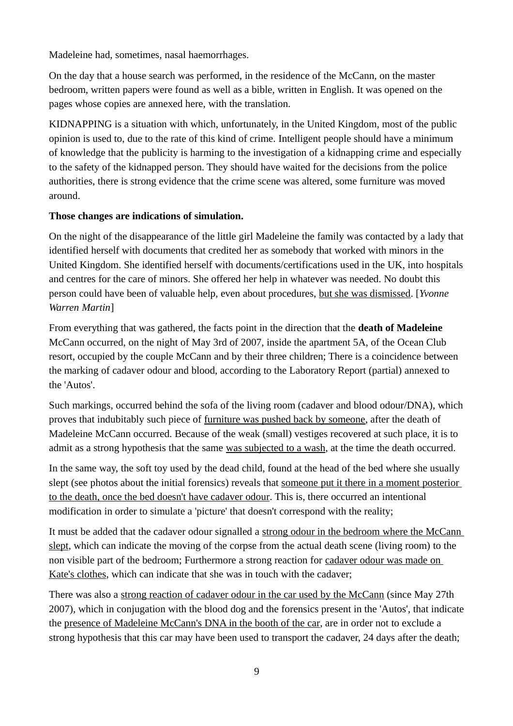Madeleine had, sometimes, nasal haemorrhages.

On the day that a house search was performed, in the residence of the McCann, on the master bedroom, written papers were found as well as a bible, written in English. It was opened on the pages whose copies are annexed here, with the translation.

KIDNAPPING is a situation with which, unfortunately, in the United Kingdom, most of the public opinion is used to, due to the rate of this kind of crime. Intelligent people should have a minimum of knowledge that the publicity is harming to the investigation of a kidnapping crime and especially to the safety of the kidnapped person. They should have waited for the decisions from the police authorities, there is strong evidence that the crime scene was altered, some furniture was moved around.

#### **Those changes are indications of simulation.**

On the night of the disappearance of the little girl Madeleine the family was contacted by a lady that identified herself with documents that credited her as somebody that worked with minors in the United Kingdom. She identified herself with documents/certifications used in the UK, into hospitals and centres for the care of minors. She offered her help in whatever was needed. No doubt this person could have been of valuable help, even about procedures, but she was dismissed. [*Yvonne Warren Martin*]

From everything that was gathered, the facts point in the direction that the **death of Madeleine** McCann occurred, on the night of May 3rd of 2007, inside the apartment 5A, of the Ocean Club resort, occupied by the couple McCann and by their three children; There is a coincidence between the marking of cadaver odour and blood, according to the Laboratory Report (partial) annexed to the 'Autos'.

Such markings, occurred behind the sofa of the living room (cadaver and blood odour/DNA), which proves that indubitably such piece of furniture was pushed back by someone, after the death of Madeleine McCann occurred. Because of the weak (small) vestiges recovered at such place, it is to admit as a strong hypothesis that the same was subjected to a wash, at the time the death occurred.

In the same way, the soft toy used by the dead child, found at the head of the bed where she usually slept (see photos about the initial forensics) reveals that someone put it there in a moment posterior to the death, once the bed doesn't have cadaver odour. This is, there occurred an intentional modification in order to simulate a 'picture' that doesn't correspond with the reality;

It must be added that the cadaver odour signalled a strong odour in the bedroom where the McCann slept, which can indicate the moving of the corpse from the actual death scene (living room) to the non visible part of the bedroom; Furthermore a strong reaction for cadaver odour was made on Kate's clothes, which can indicate that she was in touch with the cadaver;

There was also a strong reaction of cadaver odour in the car used by the McCann (since May 27th 2007), which in conjugation with the blood dog and the forensics present in the 'Autos', that indicate the presence of Madeleine McCann's DNA in the booth of the car, are in order not to exclude a strong hypothesis that this car may have been used to transport the cadaver, 24 days after the death;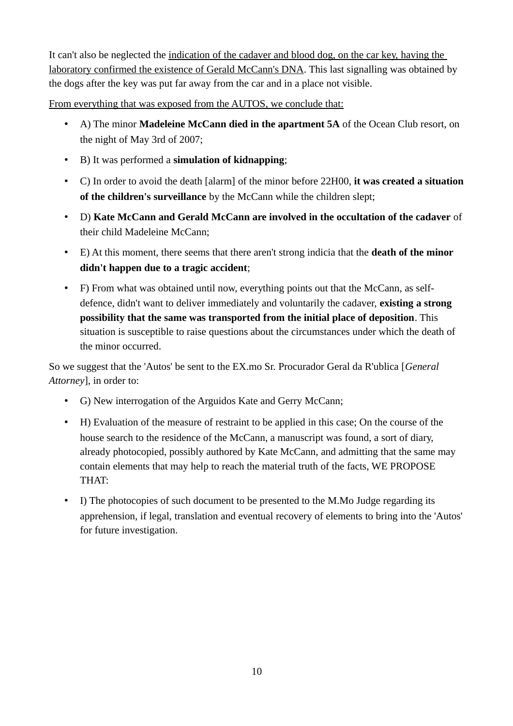It can't also be neglected the indication of the cadaver and blood dog, on the car key, having the laboratory confirmed the existence of Gerald McCann's DNA. This last signalling was obtained by the dogs after the key was put far away from the car and in a place not visible.

From everything that was exposed from the AUTOS, we conclude that:

- A) The minor **Madeleine McCann died in the apartment 5A** of the Ocean Club resort, on the night of May 3rd of 2007;
- B) It was performed a **simulation of kidnapping**;
- C) In order to avoid the death [alarm] of the minor before 22H00, **it was created a situation of the children's surveillance** by the McCann while the children slept;
- D) **Kate McCann and Gerald McCann are involved in the occultation of the cadaver** of their child Madeleine McCann;
- E) At this moment, there seems that there aren't strong indicia that the **death of the minor didn't happen due to a tragic accident**;
- F) From what was obtained until now, everything points out that the McCann, as selfdefence, didn't want to deliver immediately and voluntarily the cadaver, **existing a strong possibility that the same was transported from the initial place of deposition**. This situation is susceptible to raise questions about the circumstances under which the death of the minor occurred.

So we suggest that the 'Autos' be sent to the EX.mo Sr. Procurador Geral da R'ublica [*General Attorney*], in order to:

- G) New interrogation of the Arguidos Kate and Gerry McCann;
- H) Evaluation of the measure of restraint to be applied in this case; On the course of the house search to the residence of the McCann, a manuscript was found, a sort of diary, already photocopied, possibly authored by Kate McCann, and admitting that the same may contain elements that may help to reach the material truth of the facts, WE PROPOSE THAT:
- I) The photocopies of such document to be presented to the M.Mo Judge regarding its apprehension, if legal, translation and eventual recovery of elements to bring into the 'Autos' for future investigation.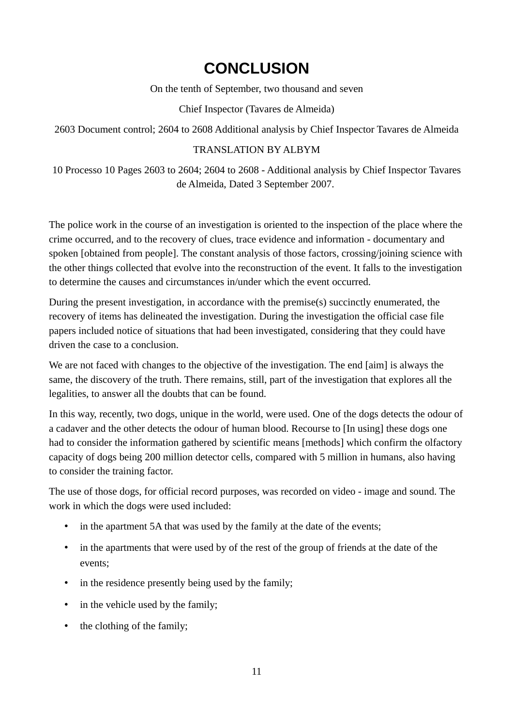# <span id="page-10-0"></span>**CONCLUSION**

On the tenth of September, two thousand and seven

#### Chief Inspector (Tavares de Almeida)

2603 Document control; 2604 to 2608 Additional analysis by Chief Inspector Tavares de Almeida

#### TRANSLATION BY ALBYM

10 Processo 10 Pages 2603 to 2604; 2604 to 2608 - Additional analysis by Chief Inspector Tavares de Almeida, Dated 3 September 2007.

The police work in the course of an investigation is oriented to the inspection of the place where the crime occurred, and to the recovery of clues, trace evidence and information - documentary and spoken [obtained from people]. The constant analysis of those factors, crossing/joining science with the other things collected that evolve into the reconstruction of the event. It falls to the investigation to determine the causes and circumstances in/under which the event occurred.

During the present investigation, in accordance with the premise(s) succinctly enumerated, the recovery of items has delineated the investigation. During the investigation the official case file papers included notice of situations that had been investigated, considering that they could have driven the case to a conclusion.

We are not faced with changes to the objective of the investigation. The end [aim] is always the same, the discovery of the truth. There remains, still, part of the investigation that explores all the legalities, to answer all the doubts that can be found.

In this way, recently, two dogs, unique in the world, were used. One of the dogs detects the odour of a cadaver and the other detects the odour of human blood. Recourse to [In using] these dogs one had to consider the information gathered by scientific means [methods] which confirm the olfactory capacity of dogs being 200 million detector cells, compared with 5 million in humans, also having to consider the training factor.

The use of those dogs, for official record purposes, was recorded on video - image and sound. The work in which the dogs were used included:

- in the apartment 5A that was used by the family at the date of the events;
- in the apartments that were used by of the rest of the group of friends at the date of the events;
- in the residence presently being used by the family;
- in the vehicle used by the family;
- the clothing of the family;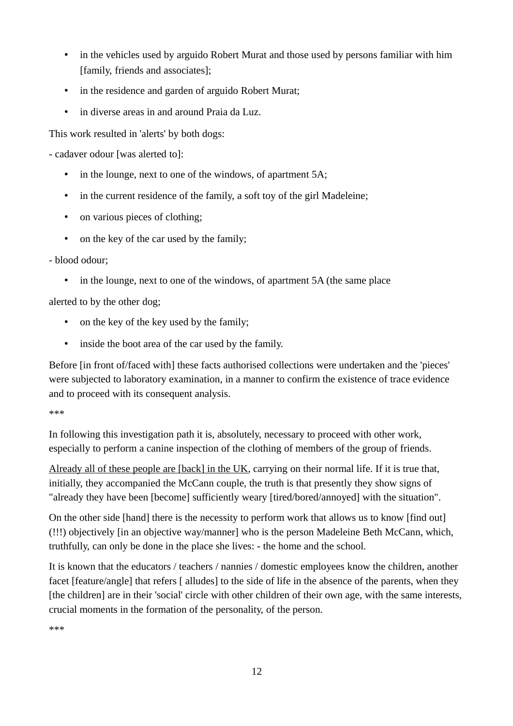- in the vehicles used by arguido Robert Murat and those used by persons familiar with him [family, friends and associates];
- in the residence and garden of arguido Robert Murat;
- in diverse areas in and around Praia da Luz.

This work resulted in 'alerts' by both dogs:

- cadaver odour [was alerted to]:

- in the lounge, next to one of the windows, of apartment 5A;
- in the current residence of the family, a soft toy of the girl Madeleine;
- on various pieces of clothing;
- on the key of the car used by the family;

- blood odour;

• in the lounge, next to one of the windows, of apartment 5A (the same place

alerted to by the other dog;

- on the key of the key used by the family;
- inside the boot area of the car used by the family.

Before [in front of/faced with] these facts authorised collections were undertaken and the 'pieces' were subjected to laboratory examination, in a manner to confirm the existence of trace evidence and to proceed with its consequent analysis.

\*\*\*

In following this investigation path it is, absolutely, necessary to proceed with other work, especially to perform a canine inspection of the clothing of members of the group of friends.

Already all of these people are [back] in the UK, carrying on their normal life. If it is true that, initially, they accompanied the McCann couple, the truth is that presently they show signs of "already they have been [become] sufficiently weary [tired/bored/annoyed] with the situation".

On the other side [hand] there is the necessity to perform work that allows us to know [find out] (!!!) objectively [in an objective way/manner] who is the person Madeleine Beth McCann, which, truthfully, can only be done in the place she lives: - the home and the school.

It is known that the educators / teachers / nannies / domestic employees know the children, another facet [feature/angle] that refers [ alludes] to the side of life in the absence of the parents, when they [the children] are in their 'social' circle with other children of their own age, with the same interests, crucial moments in the formation of the personality, of the person.

\*\*\*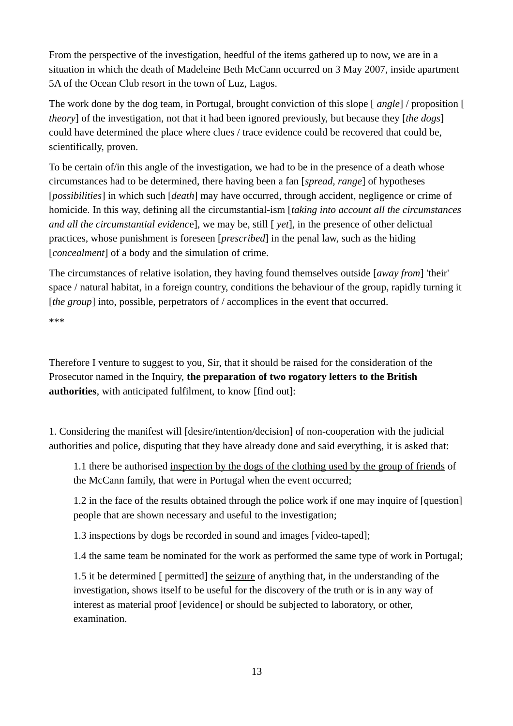From the perspective of the investigation, heedful of the items gathered up to now, we are in a situation in which the death of Madeleine Beth McCann occurred on 3 May 2007, inside apartment 5A of the Ocean Club resort in the town of Luz, Lagos.

The work done by the dog team, in Portugal, brought conviction of this slope [ *angle*] / proposition [ *theory*] of the investigation, not that it had been ignored previously, but because they [*the dogs*] could have determined the place where clues / trace evidence could be recovered that could be, scientifically, proven.

To be certain of/in this angle of the investigation, we had to be in the presence of a death whose circumstances had to be determined, there having been a fan [*spread, range*] of hypotheses [*possibilities*] in which such [*death*] may have occurred, through accident, negligence or crime of homicide. In this way, defining all the circumstantial-ism [*taking into account all the circumstances and all the circumstantial evidenc*e], we may be, still [ *yet*], in the presence of other delictual practices, whose punishment is foreseen [*prescribed*] in the penal law, such as the hiding [*concealment*] of a body and the simulation of crime.

The circumstances of relative isolation, they having found themselves outside [*away from*] 'their' space / natural habitat, in a foreign country, conditions the behaviour of the group, rapidly turning it [*the group*] into, possible, perpetrators of / accomplices in the event that occurred.

\*\*\*

Therefore I venture to suggest to you, Sir, that it should be raised for the consideration of the Prosecutor named in the Inquiry, **the preparation of two rogatory letters to the British authorities**, with anticipated fulfilment, to know [find out]:

1. Considering the manifest will [desire/intention/decision] of non-cooperation with the judicial authorities and police, disputing that they have already done and said everything, it is asked that:

1.1 there be authorised inspection by the dogs of the clothing used by the group of friends of the McCann family, that were in Portugal when the event occurred;

1.2 in the face of the results obtained through the police work if one may inquire of [question] people that are shown necessary and useful to the investigation;

1.3 inspections by dogs be recorded in sound and images [video-taped];

1.4 the same team be nominated for the work as performed the same type of work in Portugal;

1.5 it be determined [ permitted] the seizure of anything that, in the understanding of the investigation, shows itself to be useful for the discovery of the truth or is in any way of interest as material proof [evidence] or should be subjected to laboratory, or other, examination.